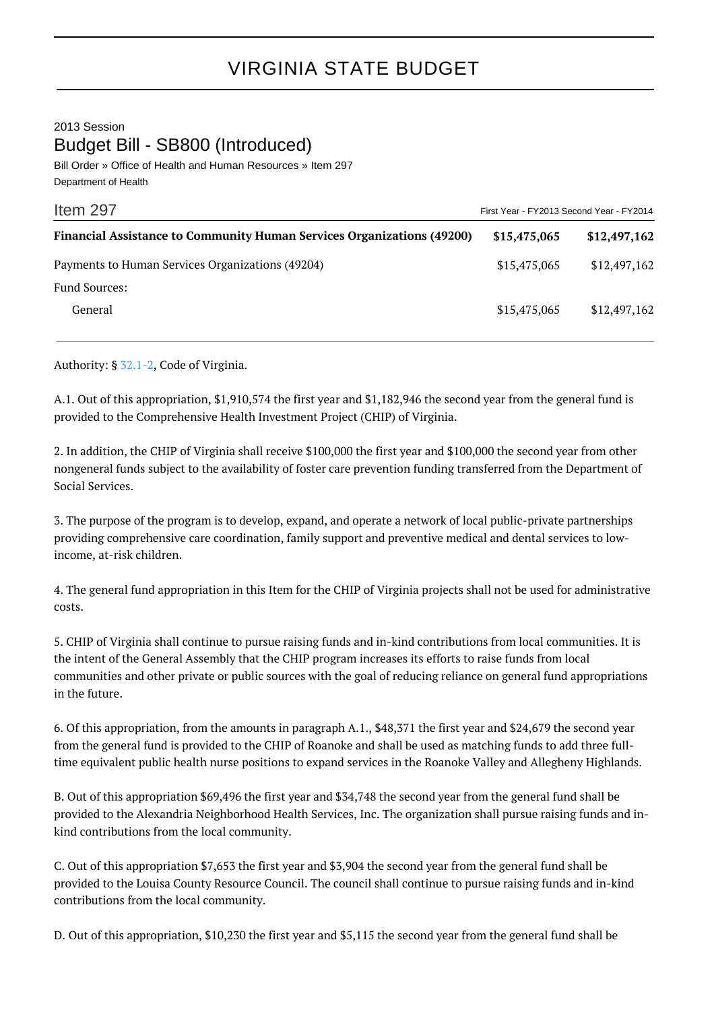## VIRGINIA STATE BUDGET

2013 Session Budget Bill - SB800 (Introduced)

Bill Order » Office of Health and Human Resources » Item 297 Department of Health

| Item 297                                                                      | First Year - FY2013 Second Year - FY2014 |              |
|-------------------------------------------------------------------------------|------------------------------------------|--------------|
| <b>Financial Assistance to Community Human Services Organizations (49200)</b> | \$15,475,065                             | \$12,497,162 |
| Payments to Human Services Organizations (49204)                              | \$15,475,065                             | \$12,497,162 |
| Fund Sources:                                                                 |                                          |              |
| General                                                                       | \$15,475,065                             | \$12,497,162 |

Authority: § [32.1-2,](http://law.lis.virginia.gov/vacode/32.1-2/) Code of Virginia.

A.1. Out of this appropriation, \$1,910,574 the first year and \$1,182,946 the second year from the general fund is provided to the Comprehensive Health Investment Project (CHIP) of Virginia.

2. In addition, the CHIP of Virginia shall receive \$100,000 the first year and \$100,000 the second year from other nongeneral funds subject to the availability of foster care prevention funding transferred from the Department of Social Services.

3. The purpose of the program is to develop, expand, and operate a network of local public-private partnerships providing comprehensive care coordination, family support and preventive medical and dental services to lowincome, at-risk children.

4. The general fund appropriation in this Item for the CHIP of Virginia projects shall not be used for administrative costs.

5. CHIP of Virginia shall continue to pursue raising funds and in-kind contributions from local communities. It is the intent of the General Assembly that the CHIP program increases its efforts to raise funds from local communities and other private or public sources with the goal of reducing reliance on general fund appropriations in the future.

6. Of this appropriation, from the amounts in paragraph A.1., \$48,371 the first year and \$24,679 the second year from the general fund is provided to the CHIP of Roanoke and shall be used as matching funds to add three fulltime equivalent public health nurse positions to expand services in the Roanoke Valley and Allegheny Highlands.

B. Out of this appropriation \$69,496 the first year and \$34,748 the second year from the general fund shall be provided to the Alexandria Neighborhood Health Services, Inc. The organization shall pursue raising funds and inkind contributions from the local community.

C. Out of this appropriation \$7,653 the first year and \$3,904 the second year from the general fund shall be provided to the Louisa County Resource Council. The council shall continue to pursue raising funds and in-kind contributions from the local community.

D. Out of this appropriation, \$10,230 the first year and \$5,115 the second year from the general fund shall be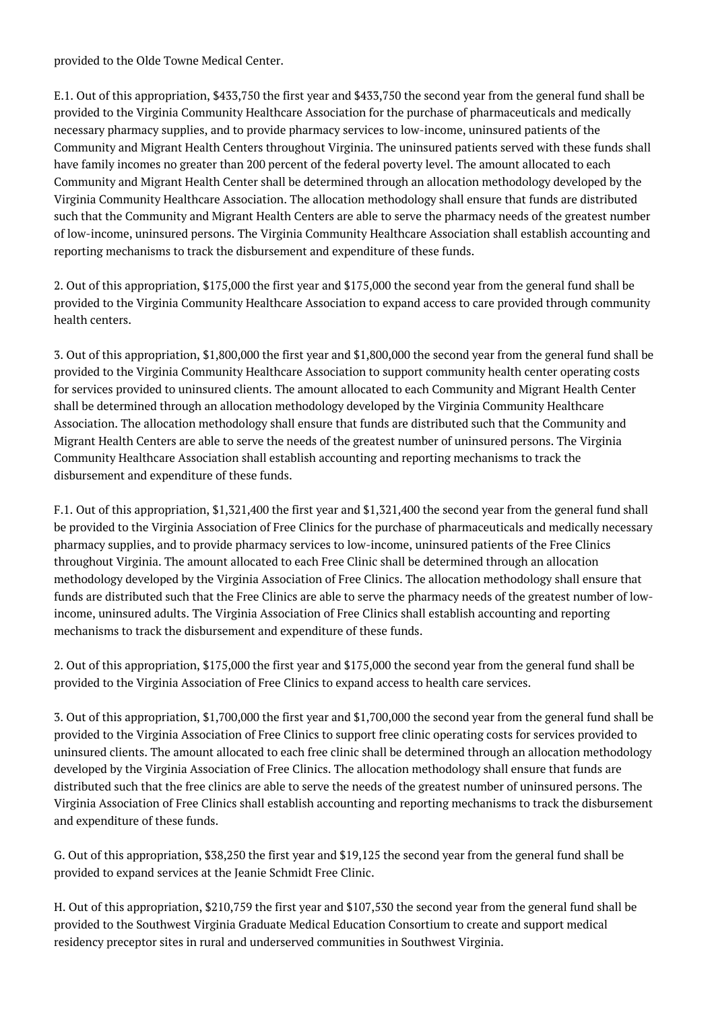provided to the Olde Towne Medical Center.

E.1. Out of this appropriation, \$433,750 the first year and \$433,750 the second year from the general fund shall be provided to the Virginia Community Healthcare Association for the purchase of pharmaceuticals and medically necessary pharmacy supplies, and to provide pharmacy services to low-income, uninsured patients of the Community and Migrant Health Centers throughout Virginia. The uninsured patients served with these funds shall have family incomes no greater than 200 percent of the federal poverty level. The amount allocated to each Community and Migrant Health Center shall be determined through an allocation methodology developed by the Virginia Community Healthcare Association. The allocation methodology shall ensure that funds are distributed such that the Community and Migrant Health Centers are able to serve the pharmacy needs of the greatest number of low-income, uninsured persons. The Virginia Community Healthcare Association shall establish accounting and reporting mechanisms to track the disbursement and expenditure of these funds.

2. Out of this appropriation, \$175,000 the first year and \$175,000 the second year from the general fund shall be provided to the Virginia Community Healthcare Association to expand access to care provided through community health centers.

3. Out of this appropriation, \$1,800,000 the first year and \$1,800,000 the second year from the general fund shall be provided to the Virginia Community Healthcare Association to support community health center operating costs for services provided to uninsured clients. The amount allocated to each Community and Migrant Health Center shall be determined through an allocation methodology developed by the Virginia Community Healthcare Association. The allocation methodology shall ensure that funds are distributed such that the Community and Migrant Health Centers are able to serve the needs of the greatest number of uninsured persons. The Virginia Community Healthcare Association shall establish accounting and reporting mechanisms to track the disbursement and expenditure of these funds.

F.1. Out of this appropriation, \$1,321,400 the first year and \$1,321,400 the second year from the general fund shall be provided to the Virginia Association of Free Clinics for the purchase of pharmaceuticals and medically necessary pharmacy supplies, and to provide pharmacy services to low-income, uninsured patients of the Free Clinics throughout Virginia. The amount allocated to each Free Clinic shall be determined through an allocation methodology developed by the Virginia Association of Free Clinics. The allocation methodology shall ensure that funds are distributed such that the Free Clinics are able to serve the pharmacy needs of the greatest number of lowincome, uninsured adults. The Virginia Association of Free Clinics shall establish accounting and reporting mechanisms to track the disbursement and expenditure of these funds.

2. Out of this appropriation, \$175,000 the first year and \$175,000 the second year from the general fund shall be provided to the Virginia Association of Free Clinics to expand access to health care services.

3. Out of this appropriation, \$1,700,000 the first year and \$1,700,000 the second year from the general fund shall be provided to the Virginia Association of Free Clinics to support free clinic operating costs for services provided to uninsured clients. The amount allocated to each free clinic shall be determined through an allocation methodology developed by the Virginia Association of Free Clinics. The allocation methodology shall ensure that funds are distributed such that the free clinics are able to serve the needs of the greatest number of uninsured persons. The Virginia Association of Free Clinics shall establish accounting and reporting mechanisms to track the disbursement and expenditure of these funds.

G. Out of this appropriation, \$38,250 the first year and \$19,125 the second year from the general fund shall be provided to expand services at the Jeanie Schmidt Free Clinic.

H. Out of this appropriation, \$210,759 the first year and \$107,530 the second year from the general fund shall be provided to the Southwest Virginia Graduate Medical Education Consortium to create and support medical residency preceptor sites in rural and underserved communities in Southwest Virginia.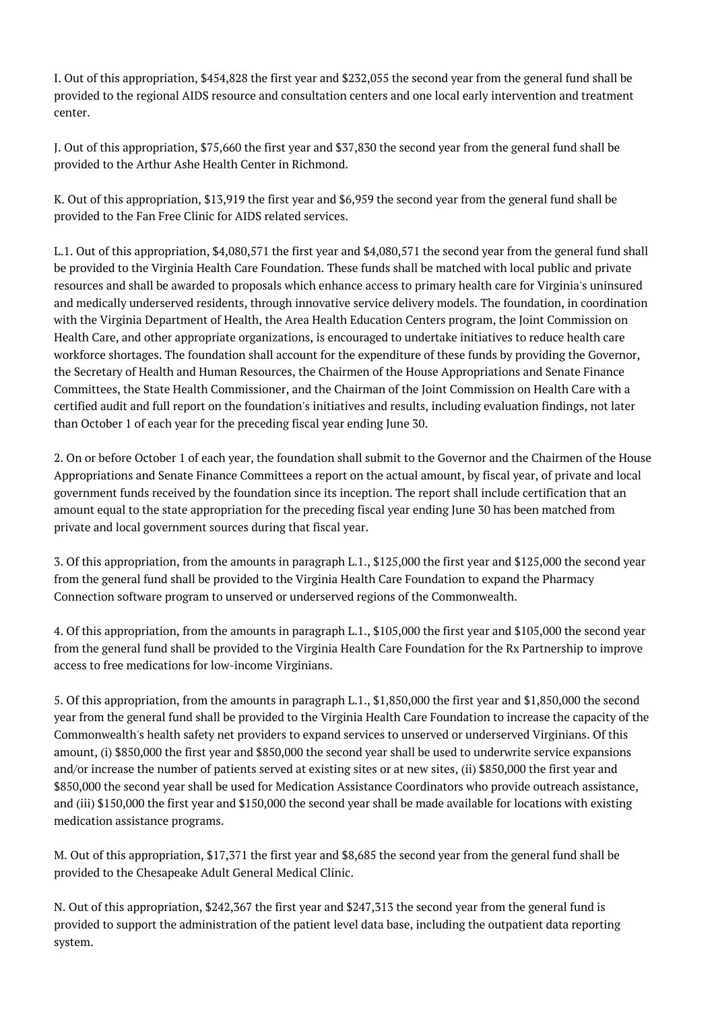I. Out of this appropriation, \$454,828 the first year and \$232,055 the second year from the general fund shall be provided to the regional AIDS resource and consultation centers and one local early intervention and treatment center.

J. Out of this appropriation, \$75,660 the first year and \$37,830 the second year from the general fund shall be provided to the Arthur Ashe Health Center in Richmond.

K. Out of this appropriation, \$13,919 the first year and \$6,959 the second year from the general fund shall be provided to the Fan Free Clinic for AIDS related services.

L.1. Out of this appropriation, \$4,080,571 the first year and \$4,080,571 the second year from the general fund shall be provided to the Virginia Health Care Foundation. These funds shall be matched with local public and private resources and shall be awarded to proposals which enhance access to primary health care for Virginia's uninsured and medically underserved residents, through innovative service delivery models. The foundation, in coordination with the Virginia Department of Health, the Area Health Education Centers program, the Joint Commission on Health Care, and other appropriate organizations, is encouraged to undertake initiatives to reduce health care workforce shortages. The foundation shall account for the expenditure of these funds by providing the Governor, the Secretary of Health and Human Resources, the Chairmen of the House Appropriations and Senate Finance Committees, the State Health Commissioner, and the Chairman of the Joint Commission on Health Care with a certified audit and full report on the foundation's initiatives and results, including evaluation findings, not later than October 1 of each year for the preceding fiscal year ending June 30.

2. On or before October 1 of each year, the foundation shall submit to the Governor and the Chairmen of the House Appropriations and Senate Finance Committees a report on the actual amount, by fiscal year, of private and local government funds received by the foundation since its inception. The report shall include certification that an amount equal to the state appropriation for the preceding fiscal year ending June 30 has been matched from private and local government sources during that fiscal year.

3. Of this appropriation, from the amounts in paragraph L.1., \$125,000 the first year and \$125,000 the second year from the general fund shall be provided to the Virginia Health Care Foundation to expand the Pharmacy Connection software program to unserved or underserved regions of the Commonwealth.

4. Of this appropriation, from the amounts in paragraph L.1., \$105,000 the first year and \$105,000 the second year from the general fund shall be provided to the Virginia Health Care Foundation for the Rx Partnership to improve access to free medications for low-income Virginians.

5. Of this appropriation, from the amounts in paragraph L.1., \$1,850,000 the first year and \$1,850,000 the second year from the general fund shall be provided to the Virginia Health Care Foundation to increase the capacity of the Commonwealth's health safety net providers to expand services to unserved or underserved Virginians. Of this amount, (i) \$850,000 the first year and \$850,000 the second year shall be used to underwrite service expansions and/or increase the number of patients served at existing sites or at new sites, (ii) \$850,000 the first year and \$850,000 the second year shall be used for Medication Assistance Coordinators who provide outreach assistance, and (iii) \$150,000 the first year and \$150,000 the second year shall be made available for locations with existing medication assistance programs.

M. Out of this appropriation, \$17,371 the first year and \$8,685 the second year from the general fund shall be provided to the Chesapeake Adult General Medical Clinic.

N. Out of this appropriation, \$242,367 the first year and \$247,313 the second year from the general fund is provided to support the administration of the patient level data base, including the outpatient data reporting system.